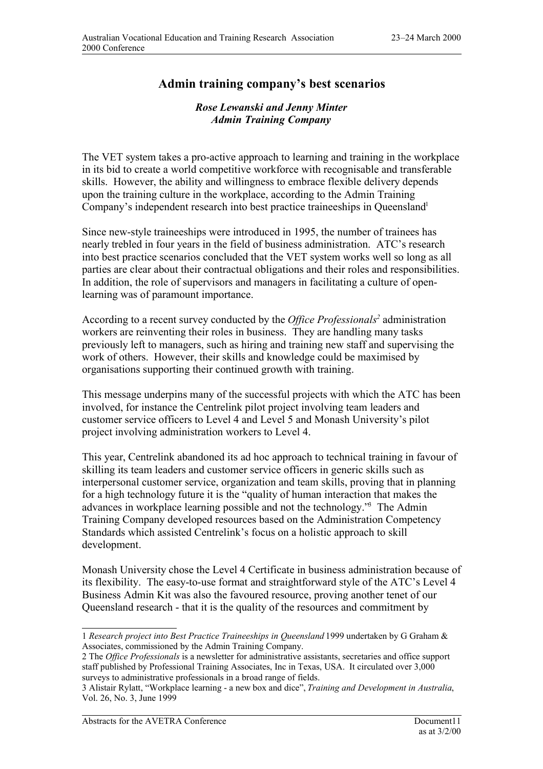## **Admin training company's best scenarios**

## *Rose Lewanski and Jenny Minter Admin Training Company*

The VET system takes a pro-active approach to learning and training in the workplace in its bid to create a world competitive workforce with recognisable and transferable skills. However, the ability and willingness to embrace flexible delivery depends upon the training culture in the workplace, according to the Admin Training Company's independent research into best practice traineeships in Oueensland<sup>1</sup>

Since new-style traineeships were introduced in 1995, the number of trainees has nearly trebled in four years in the field of business administration. ATC's research into best practice scenarios concluded that the VET system works well so long as all parties are clear about their contractual obligations and their roles and responsibilities. In addition, the role of supervisors and managers in facilitating a culture of openlearning was of paramount importance.

According to a recent survey conducted by the *Office Professionals*<sup>2</sup> administration workers are reinventing their roles in business. They are handling many tasks previously left to managers, such as hiring and training new staff and supervising the work of others. However, their skills and knowledge could be maximised by organisations supporting their continued growth with training.

This message underpins many of the successful projects with which the ATC has been involved, for instance the Centrelink pilot project involving team leaders and customer service officers to Level 4 and Level 5 and Monash University's pilot project involving administration workers to Level 4.

This year, Centrelink abandoned its ad hoc approach to technical training in favour of skilling its team leaders and customer service officers in generic skills such as interpersonal customer service, organization and team skills, proving that in planning for a high technology future it is the "quality of human interaction that makes the advances in workplace learning possible and not the technology."<sup>3</sup> The Admin Training Company developed resources based on the Administration Competency Standards which assisted Centrelink's focus on a holistic approach to skill development.

Monash University chose the Level 4 Certificate in business administration because of its flexibility. The easy-to-use format and straightforward style of the ATC's Level 4 Business Admin Kit was also the favoured resource, proving another tenet of our Queensland research - that it is the quality of the resources and commitment by

<sup>1</sup> *Research project into Best Practice Traineeships in Queensland* 1999 undertaken by G Graham & Associates, commissioned by the Admin Training Company.

<sup>2</sup> The *Office Professionals* is a newsletter for administrative assistants, secretaries and office support staff published by Professional Training Associates, Inc in Texas, USA. It circulated over 3,000 surveys to administrative professionals in a broad range of fields.

<sup>3</sup> Alistair Rylatt, "Workplace learning - a new box and dice",*Training and Development in Australia*, Vol. 26, No. 3, June 1999